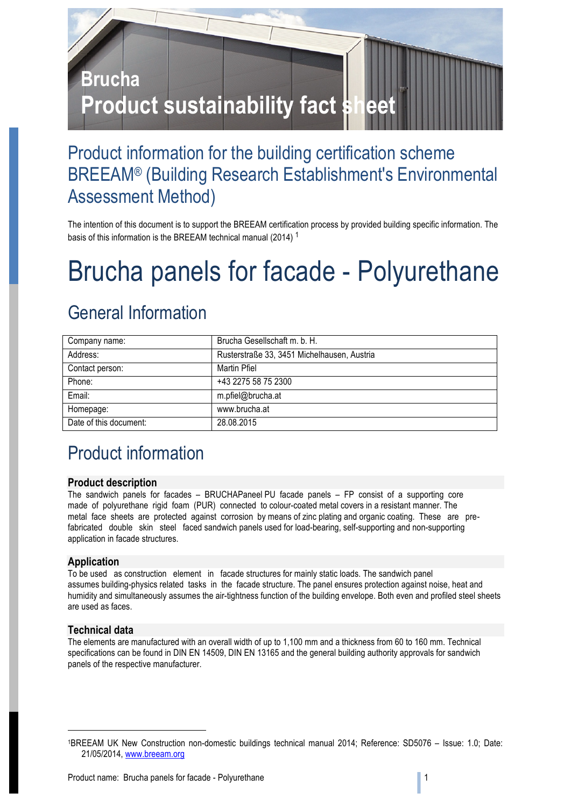

# Product information for the building certification scheme BREEAM® (Building Research Establishment's Environmental Assessment Method)

The intention of this document is to support the BREEAM certification process by provided building specific information. The basis of this information is the BREEAM technical manual (2014) <sup>1</sup>

# Brucha panels for facade - Polyurethane

# General Information

| Company name:          | Brucha Gesellschaft m. b. H.                |
|------------------------|---------------------------------------------|
| Address:               | Rusterstraße 33, 3451 Michelhausen, Austria |
| Contact person:        | Martin Pfiel                                |
| Phone:                 | +43 2275 58 75 2300                         |
| Email:                 | m.pfiel@brucha.at                           |
| Homepage:              | www.brucha.at                               |
| Date of this document: | 28.08.2015                                  |

# Product information

### **Product description**

The sandwich panels for facades – BRUCHAPaneel PU facade panels – FP consist of a supporting core made of polyurethane rigid foam (PUR) connected to colour-coated metal covers in a resistant manner. The metal face sheets are protected against corrosion by means of zinc plating and organic coating. These are prefabricated double skin steel faced sandwich panels used for load-bearing, self-supporting and non-supporting application in facade structures.

# **Application**

To be used as construction element in facade structures for mainly static loads. The sandwich panel assumes building-physics related tasks in the facade structure. The panel ensures protection against noise, heat and humidity and simultaneously assumes the air-tightness function of the building envelope. Both even and profiled steel sheets are used as faces.

# **Technical data**

1

The elements are manufactured with an overall width of up to 1,100 mm and a thickness from 60 to 160 mm. Technical specifications can be found in DIN EN 14509, DIN EN 13165 and the general building authority approvals for sandwich panels of the respective manufacturer.

<sup>1</sup>BREEAM UK New Construction non-domestic buildings technical manual 2014; Reference: SD5076 – Issue: 1.0; Date: 21/05/2014, www.breeam.org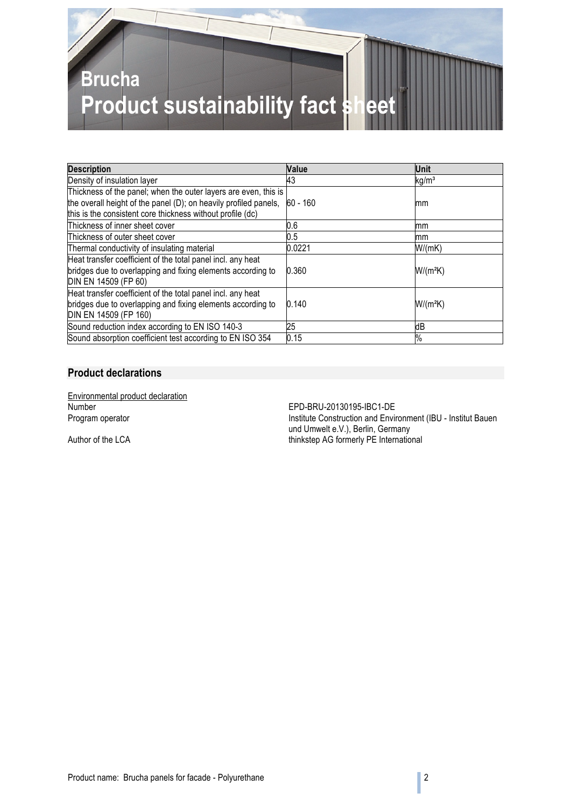

| <b>Description</b>                                                                                                                                                                                | Value    | Unit              |
|---------------------------------------------------------------------------------------------------------------------------------------------------------------------------------------------------|----------|-------------------|
| Density of insulation layer                                                                                                                                                                       | 43       | kg/m <sup>3</sup> |
| Thickness of the panel; when the outer layers are even, this is<br>the overall height of the panel (D); on heavily profiled panels,<br>this is the consistent core thickness without profile (dc) | 60 - 160 | mm                |
| Thickness of inner sheet cover                                                                                                                                                                    | 0.6      | mm                |
| Thickness of outer sheet cover                                                                                                                                                                    | 0.5      | mm                |
| Thermal conductivity of insulating material                                                                                                                                                       | 0.0221   | W/(mK)            |
| Heat transfer coefficient of the total panel incl. any heat<br>bridges due to overlapping and fixing elements according to<br>DIN EN 14509 (FP 60)                                                | 0.360    | W/(mªK)           |
| Heat transfer coefficient of the total panel incl. any heat<br>bridges due to overlapping and fixing elements according to<br>DIN EN 14509 (FP 160)                                               | 0.140    | W/(mªK)           |
| Sound reduction index according to EN ISO 140-3                                                                                                                                                   | 25       | dВ                |
| Sound absorption coefficient test according to EN ISO 354                                                                                                                                         | 0.15     | $\%$              |

# **Product declarations**

Environmental product declaration<br>Number Number<br>
Program operator<br>
Program operator<br>
Construction and Environment Construction and Environment Construction and Environment Construction

Institute Construction and Environment (IBU - Institut Bauen und Umwelt e.V.), Berlin, Germany Author of the LCA thinkstep AG formerly PE International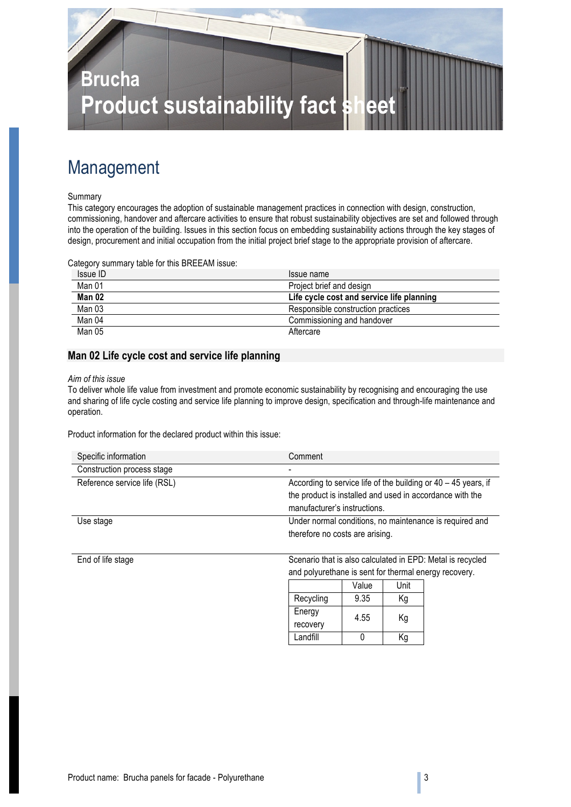

# Management

#### Summary

This category encourages the adoption of sustainable management practices in connection with design, construction, commissioning, handover and aftercare activities to ensure that robust sustainability objectives are set and followed through into the operation of the building. Issues in this section focus on embedding sustainability actions through the key stages of design, procurement and initial occupation from the initial project brief stage to the appropriate provision of aftercare.

Category summary table for this BREEAM issue:

| Issue ID | Issue name                                |
|----------|-------------------------------------------|
| Man 01   | Project brief and design                  |
| Man 02   | Life cycle cost and service life planning |
| Man 03   | Responsible construction practices        |
| Man 04   | Commissioning and handover                |
| Man 05   | Aftercare                                 |

### **Man 02 Life cycle cost and service life planning**

#### *Aim of this issue*

To deliver whole life value from investment and promote economic sustainability by recognising and encouraging the use and sharing of life cycle costing and service life planning to improve design, specification and through-life maintenance and operation.

Product information for the declared product within this issue:

| Specific information         | Comment                                                          |
|------------------------------|------------------------------------------------------------------|
| Construction process stage   |                                                                  |
| Reference service life (RSL) | According to service life of the building or $40 - 45$ years, if |
|                              | the product is installed and used in accordance with the         |
|                              | manufacturer's instructions.                                     |
| Use stage                    | Under normal conditions, no maintenance is required and          |
|                              | therefore no costs are arising.                                  |
|                              |                                                                  |

End of life stage Scenario that is also calculated in EPD: Metal is recycled and polyurethane is sent for thermal energy recovery.

|           | Value | Unit |
|-----------|-------|------|
| Recycling | 9.35  | Κg   |
| Energy    | 4.55  | Κg   |
| recovery  |       |      |
| Landfill  |       | Κq   |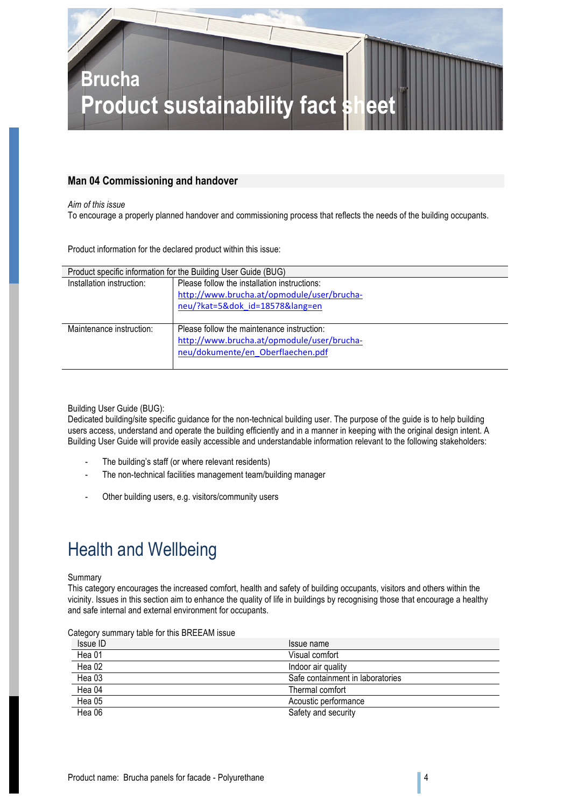

### **Man 04 Commissioning and handover**

*Aim of this issue*

To encourage a properly planned handover and commissioning process that reflects the needs of the building occupants.

Product information for the declared product within this issue:

| Product specific information for the Building User Guide (BUG) |                                              |  |
|----------------------------------------------------------------|----------------------------------------------|--|
| Installation instruction:                                      | Please follow the installation instructions: |  |
|                                                                | http://www.brucha.at/opmodule/user/brucha-   |  |
|                                                                | neu/?kat=5&dok id=18578⟨=en                  |  |
|                                                                |                                              |  |
| Maintenance instruction:                                       | Please follow the maintenance instruction:   |  |
|                                                                | http://www.brucha.at/opmodule/user/brucha-   |  |
|                                                                | neu/dokumente/en Oberflaechen.pdf            |  |
|                                                                |                                              |  |

Building User Guide (BUG):

Dedicated building/site specific guidance for the non-technical building user. The purpose of the guide is to help building users access, understand and operate the building efficiently and in a manner in keeping with the original design intent. A Building User Guide will provide easily accessible and understandable information relevant to the following stakeholders:

- The building's staff (or where relevant residents)
- The non-technical facilities management team/building manager
- Other building users, e.g. visitors/community users

# Health and Wellbeing

#### Summary

This category encourages the increased comfort, health and safety of building occupants, visitors and others within the vicinity. Issues in this section aim to enhance the quality of life in buildings by recognising those that encourage a healthy and safe internal and external environment for occupants.

| Calegory Summary lable for this DREEAM iSSUE. |                                  |
|-----------------------------------------------|----------------------------------|
| Issue ID                                      | Issue name                       |
| Hea 01                                        | Visual comfort                   |
| Hea 02                                        | Indoor air quality               |
| Hea 03                                        | Safe containment in laboratories |
| Hea 04                                        | Thermal comfort                  |
| Hea 05                                        | Acoustic performance             |
| Hea 06                                        | Safety and security              |

Category summary table for this BREEAM issue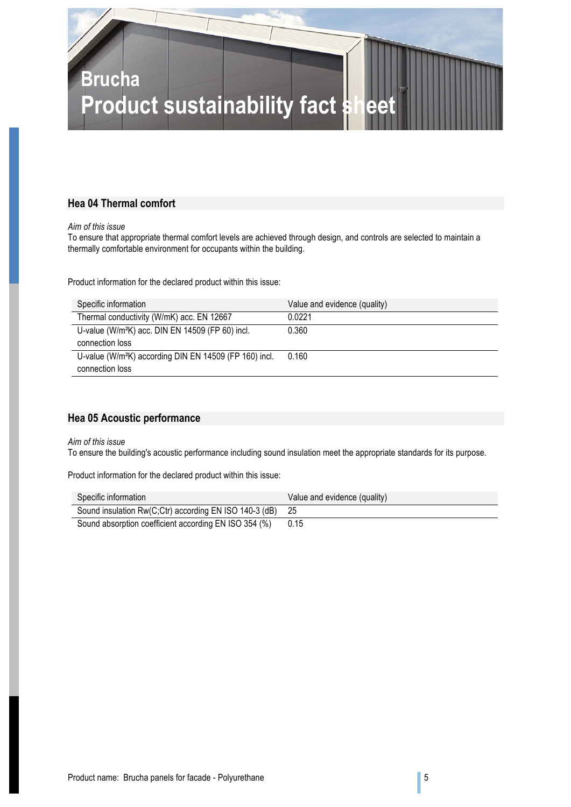

# **Hea 04 Thermal comfort**

*Aim of this issue*

To ensure that appropriate thermal comfort levels are achieved through design, and controls are selected to maintain a thermally comfortable environment for occupants within the building.

Product information for the declared product within this issue:

| Specific information                                               | Value and evidence (quality) |
|--------------------------------------------------------------------|------------------------------|
| Thermal conductivity (W/mK) acc. EN 12667                          | 0.0221                       |
| U-value (W/m <sup>2</sup> K) acc. DIN EN 14509 (FP 60) incl.       | 0.360                        |
| connection loss                                                    |                              |
| U-value (W/m <sup>2</sup> K) according DIN EN 14509 (FP 160) incl. | 0.160                        |
| connection loss                                                    |                              |

### **Hea 05 Acoustic performance**

*Aim of this issue*

To ensure the building's acoustic performance including sound insulation meet the appropriate standards for its purpose.

Product information for the declared product within this issue:

| Specific information                                      | Value and evidence (quality) |
|-----------------------------------------------------------|------------------------------|
| Sound insulation Rw(C;Ctr) according EN ISO 140-3 (dB) 25 |                              |
| Sound absorption coefficient according EN ISO 354 (%)     | 0.15                         |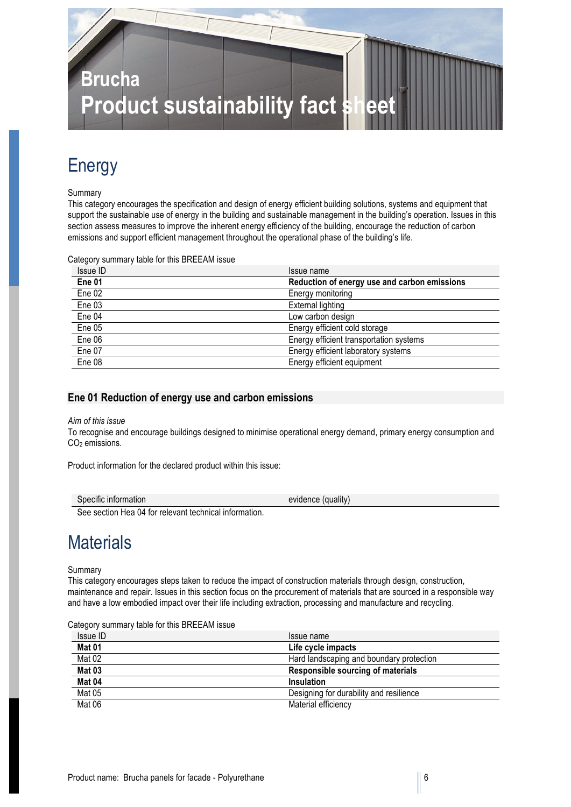

# Energy

#### Summary

This category encourages the specification and design of energy efficient building solutions, systems and equipment that support the sustainable use of energy in the building and sustainable management in the building's operation. Issues in this section assess measures to improve the inherent energy efficiency of the building, encourage the reduction of carbon emissions and support efficient management throughout the operational phase of the building's life.

Category summary table for this BREEAM issue

| Issue ID          | Issue name                                   |
|-------------------|----------------------------------------------|
| Ene <sub>01</sub> | Reduction of energy use and carbon emissions |
| Ene 02            | Energy monitoring                            |
| Ene 03            | External lighting                            |
| Ene 04            | Low carbon design                            |
| Ene 05            | Energy efficient cold storage                |
| Ene 06            | Energy efficient transportation systems      |
| Ene 07            | Energy efficient laboratory systems          |
| Ene 08            | Energy efficient equipment                   |

#### **Ene 01 Reduction of energy use and carbon emissions**

#### *Aim of this issue*

To recognise and encourage buildings designed to minimise operational energy demand, primary energy consumption and CO<sub>2</sub> emissions.

Product information for the declared product within this issue:

| Specific information | $\cdots$<br>evidence<br>duality) ( |
|----------------------|------------------------------------|
|                      |                                    |

See section Hea 04 for relevant technical information.

# **Materials**

Summary

This category encourages steps taken to reduce the impact of construction materials through design, construction, maintenance and repair. Issues in this section focus on the procurement of materials that are sourced in a responsible way and have a low embodied impact over their life including extraction, processing and manufacture and recycling.

|  | Category summary table for this BREEAM issue |
|--|----------------------------------------------|
|--|----------------------------------------------|

| Issue ID      | Issue name                               |
|---------------|------------------------------------------|
| <b>Mat 01</b> | Life cycle impacts                       |
| Mat 02        | Hard landscaping and boundary protection |
| Mat 03        | Responsible sourcing of materials        |
| Mat 04        | Insulation                               |
| Mat 05        | Designing for durability and resilience  |
| Mat 06        | Material efficiency                      |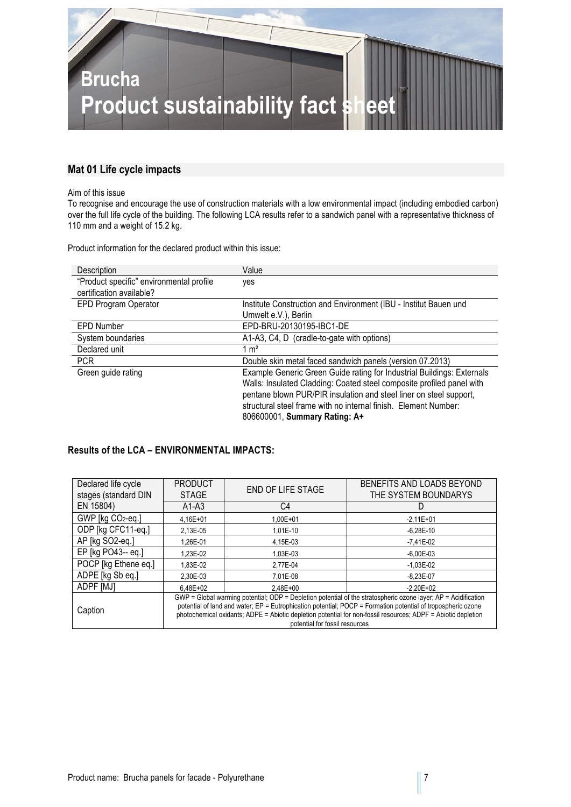

### **Mat 01 Life cycle impacts**

#### Aim of this issue

To recognise and encourage the use of construction materials with a low environmental impact (including embodied carbon) over the full life cycle of the building. The following LCA results refer to a sandwich panel with a representative thickness of 110 mm and a weight of 15.2 kg.

Product information for the declared product within this issue:

| Description                              | Value                                                                  |
|------------------------------------------|------------------------------------------------------------------------|
| "Product specific" environmental profile | yes                                                                    |
| certification available?                 |                                                                        |
| EPD Program Operator                     | Institute Construction and Environment (IBU - Institut Bauen und       |
|                                          | Umwelt e.V.), Berlin                                                   |
| <b>EPD Number</b>                        | EPD-BRU-20130195-IBC1-DE                                               |
| System boundaries                        | A1-A3, C4, D (cradle-to-gate with options)                             |
| Declared unit                            | $1 \text{ m}^2$                                                        |
| <b>PCR</b>                               | Double skin metal faced sandwich panels (version 07.2013)              |
| Green guide rating                       | Example Generic Green Guide rating for Industrial Buildings: Externals |
|                                          | Walls: Insulated Cladding: Coated steel composite profiled panel with  |
|                                          | pentane blown PUR/PIR insulation and steel liner on steel support,     |
|                                          | structural steel frame with no internal finish. Element Number:        |
|                                          | 806600001, Summary Rating: A+                                          |

### **Results of the LCA – ENVIRONMENTAL IMPACTS:**

| Declared life cycle                                                                                                                                                                                                                       | <b>PRODUCT</b>                                                                                                | <b>END OF LIFE STAGE</b> | BENEFITS AND LOADS BEYOND |
|-------------------------------------------------------------------------------------------------------------------------------------------------------------------------------------------------------------------------------------------|---------------------------------------------------------------------------------------------------------------|--------------------------|---------------------------|
| stages (standard DIN                                                                                                                                                                                                                      | <b>STAGE</b>                                                                                                  |                          | THE SYSTEM BOUNDARYS      |
| EN 15804)                                                                                                                                                                                                                                 | $A1-A3$                                                                                                       | C4                       | D                         |
| GWP [kg CO2-eq.]                                                                                                                                                                                                                          | 4.16E+01                                                                                                      | 1.00E+01                 | $-2.11E+01$               |
| ODP [kg CFC11-eq.]                                                                                                                                                                                                                        | 2.13E-05                                                                                                      | 1.01E-10                 | $-6.28E-10$               |
| AP [kg SO2-eq.]                                                                                                                                                                                                                           | 1.26E-01                                                                                                      | 4,15E-03                 | $-7,41E-02$               |
| EP [kg PO43-- eq.]                                                                                                                                                                                                                        | 1.23E-02                                                                                                      | 1,03E-03                 | $-6,00E-03$               |
| POCP [kg Ethene eq.]                                                                                                                                                                                                                      | 1.83E-02                                                                                                      | 2,77E-04                 | $-1,03E-02$               |
| ADPE [kg Sb eq.]                                                                                                                                                                                                                          | 2.30E-03                                                                                                      | 7.01E-08                 | $-8,23E-07$               |
| ADPF [MJ]                                                                                                                                                                                                                                 | 6.48E+02                                                                                                      | 2.48E+00                 | $-2.20E + 02$             |
| GWP = Global warming potential; ODP = Depletion potential of the stratospheric ozone layer; AP = Acidification<br>potential of land and water; EP = Eutrophication potential; POCP = Formation potential of tropospheric ozone<br>Caption |                                                                                                               |                          |                           |
|                                                                                                                                                                                                                                           | photochemical oxidants; ADPE = Abiotic depletion potential for non-fossil resources; ADPF = Abiotic depletion |                          |                           |
| potential for fossil resources                                                                                                                                                                                                            |                                                                                                               |                          |                           |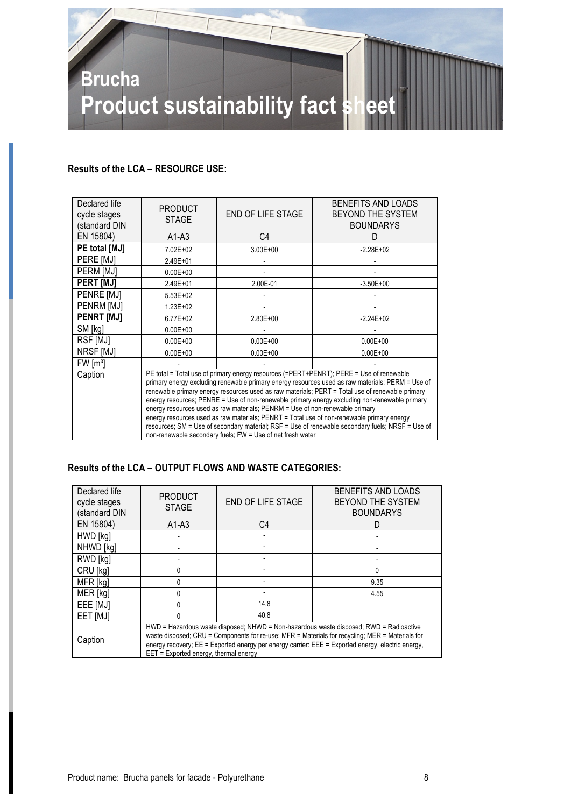

# **Results of the LCA – RESOURCE USE:**

| Declared life<br>cycle stages<br>(standard DIN | <b>PRODUCT</b><br><b>STAGE</b>                                                                                                                                                                                                                                                                                                                                                                                                                                                                                                                                                                                                                                                                                                                 | END OF LIFE STAGE | BENEFITS AND LOADS<br>BEYOND THE SYSTEM<br><b>BOUNDARYS</b> |
|------------------------------------------------|------------------------------------------------------------------------------------------------------------------------------------------------------------------------------------------------------------------------------------------------------------------------------------------------------------------------------------------------------------------------------------------------------------------------------------------------------------------------------------------------------------------------------------------------------------------------------------------------------------------------------------------------------------------------------------------------------------------------------------------------|-------------------|-------------------------------------------------------------|
| EN 15804)                                      | $A1-A3$                                                                                                                                                                                                                                                                                                                                                                                                                                                                                                                                                                                                                                                                                                                                        | C4                | D                                                           |
| PE total [MJ]                                  | 7.02E+02                                                                                                                                                                                                                                                                                                                                                                                                                                                                                                                                                                                                                                                                                                                                       | $3.00E + 00$      | $-2.28E+02$                                                 |
| PERE [MJ]                                      | 2.49E+01                                                                                                                                                                                                                                                                                                                                                                                                                                                                                                                                                                                                                                                                                                                                       |                   |                                                             |
| PERM [MJ]                                      | $0.00E + 00$                                                                                                                                                                                                                                                                                                                                                                                                                                                                                                                                                                                                                                                                                                                                   |                   |                                                             |
| <b>PERT IMJI</b>                               | 2.49E+01                                                                                                                                                                                                                                                                                                                                                                                                                                                                                                                                                                                                                                                                                                                                       | 2.00E-01          | $-3.50E + 00$                                               |
| <b>PENRE IMJI</b>                              | 5.53E+02                                                                                                                                                                                                                                                                                                                                                                                                                                                                                                                                                                                                                                                                                                                                       |                   |                                                             |
| PENRM [MJ]                                     | 1.23E+02                                                                                                                                                                                                                                                                                                                                                                                                                                                                                                                                                                                                                                                                                                                                       |                   |                                                             |
| <b>PENRT [MJ]</b>                              | $6.77E + 02$                                                                                                                                                                                                                                                                                                                                                                                                                                                                                                                                                                                                                                                                                                                                   | $2.80E + 00$      | $-2.24E+02$                                                 |
| SM [kg]                                        | $0.00E + 00$                                                                                                                                                                                                                                                                                                                                                                                                                                                                                                                                                                                                                                                                                                                                   |                   |                                                             |
| RSF [MJ]                                       | $0.00E + 00$                                                                                                                                                                                                                                                                                                                                                                                                                                                                                                                                                                                                                                                                                                                                   | $0.00E + 00$      | $0.00E + 00$                                                |
| NRSF [MJ]                                      | $0.00E + 00$                                                                                                                                                                                                                                                                                                                                                                                                                                                                                                                                                                                                                                                                                                                                   | $0.00E + 00$      | $0.00E + 00$                                                |
| FW [m <sup>3</sup> ]                           |                                                                                                                                                                                                                                                                                                                                                                                                                                                                                                                                                                                                                                                                                                                                                |                   |                                                             |
| Caption                                        | PE total = Total use of primary energy resources (=PERT+PENRT); PERE = Use of renewable<br>primary energy excluding renewable primary energy resources used as raw materials; PERM = Use of<br>renewable primary energy resources used as raw materials; PERT = Total use of renewable primary<br>energy resources; PENRE = Use of non-renewable primary energy excluding non-renewable primary<br>energy resources used as raw materials; PENRM = Use of non-renewable primary<br>energy resources used as raw materials; PENRT = Total use of non-renewable primary energy<br>resources; SM = Use of secondary material; RSF = Use of renewable secondary fuels; NRSF = Use of<br>non-renewable secondary fuels; FW = Use of net fresh water |                   |                                                             |

# **Results of the LCA – OUTPUT FLOWS AND WASTE CATEGORIES:**

| Declared life<br>cycle stages<br>(standard DIN | <b>PRODUCT</b><br><b>STAGE</b>                                                                                                                                                                                                                                                                                                              | <b>END OF LIFE STAGE</b> | BENEFITS AND LOADS<br><b>BEYOND THE SYSTEM</b><br><b>BOUNDARYS</b> |
|------------------------------------------------|---------------------------------------------------------------------------------------------------------------------------------------------------------------------------------------------------------------------------------------------------------------------------------------------------------------------------------------------|--------------------------|--------------------------------------------------------------------|
| EN 15804)                                      | $A1-A3$                                                                                                                                                                                                                                                                                                                                     | C4                       |                                                                    |
| HWD [kg]                                       |                                                                                                                                                                                                                                                                                                                                             |                          |                                                                    |
| NHWD [kg]                                      |                                                                                                                                                                                                                                                                                                                                             |                          |                                                                    |
| RWD [kg]                                       |                                                                                                                                                                                                                                                                                                                                             |                          |                                                                    |
| CRU [kg]                                       | U                                                                                                                                                                                                                                                                                                                                           |                          | 0                                                                  |
| MFR [kg]                                       | N                                                                                                                                                                                                                                                                                                                                           |                          | 9.35                                                               |
| MER [kg]                                       | <sup>0</sup>                                                                                                                                                                                                                                                                                                                                |                          | 4.55                                                               |
| EEE [MJ]                                       | 0                                                                                                                                                                                                                                                                                                                                           | 14.8                     |                                                                    |
| EET <sub>[MJ]</sub>                            | $\Omega$                                                                                                                                                                                                                                                                                                                                    | 40.8                     |                                                                    |
| Caption                                        | HWD = Hazardous waste disposed; NHWD = Non-hazardous waste disposed; RWD = Radioactive<br>waste disposed; CRU = Components for re-use; MFR = Materials for recycling; MER = Materials for<br>energy recovery; $EE =$ Exported energy per energy carrier: $EEE =$ Exported energy, electric energy,<br>EET = Exported energy, thermal energy |                          |                                                                    |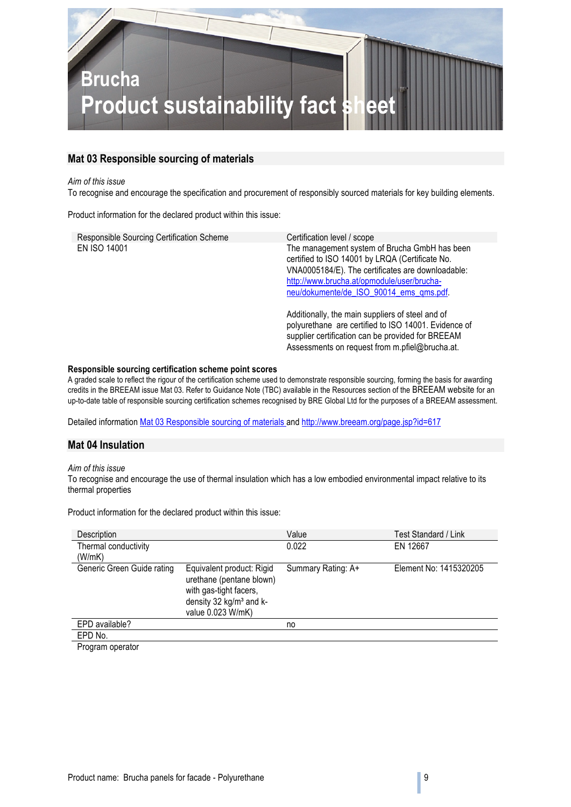

### **Mat 03 Responsible sourcing of materials**

#### *Aim of this issue*

To recognise and encourage the specification and procurement of responsibly sourced materials for key building elements.

Product information for the declared product within this issue:

| Responsible Sourcing Certification Scheme | Certification level / scope                                                                                                                                                                                                                    |
|-------------------------------------------|------------------------------------------------------------------------------------------------------------------------------------------------------------------------------------------------------------------------------------------------|
| EN ISO 14001                              | The management system of Brucha GmbH has been<br>certified to ISO 14001 by LRQA (Certificate No.<br>VNA0005184/E). The certificates are downloadable:<br>http://www.brucha.at/opmodule/user/brucha-<br>neu/dokumente/de ISO 90014 ems qms.pdf. |
|                                           | Additionally, the main suppliers of steel and of<br>polyurethane are certified to ISO 14001. Evidence of<br>supplier certification can be provided for BREEAM<br>Assessments on request from m.pfiel@brucha.at.                                |

#### **Responsible sourcing certification scheme point scores**

A graded scale to reflect the rigour of the certification scheme used to demonstrate responsible sourcing, forming the basis for awarding credits in the BREEAM issue Mat 03. Refer to Guidance Note (TBC) available in the Resources section of the BREEAM website for an up-to-date table of responsible sourcing certification schemes recognised by BRE Global Ltd for the purposes of a BREEAM assessment.

Detailed information Mat 03 Responsible sourcing of materials and http://www.breeam.org/page.jsp?id=617

#### **Mat 04 Insulation**

#### *Aim of this issue*

To recognise and encourage the use of thermal insulation which has a low embodied environmental impact relative to its thermal properties

Product information for the declared product within this issue:

| Description                |                                                                                                                                             | Value              | Test Standard / Link   |
|----------------------------|---------------------------------------------------------------------------------------------------------------------------------------------|--------------------|------------------------|
| Thermal conductivity       |                                                                                                                                             | 0.022              | EN 12667               |
| (W/mK)                     |                                                                                                                                             |                    |                        |
| Generic Green Guide rating | Equivalent product: Rigid<br>urethane (pentane blown)<br>with gas-tight facers,<br>density 32 kg/m <sup>3</sup> and k-<br>value 0.023 W/mK) | Summary Rating: A+ | Element No: 1415320205 |
| EPD available?             |                                                                                                                                             | no                 |                        |
| EPD No.                    |                                                                                                                                             |                    |                        |
| Drogram operator           |                                                                                                                                             |                    |                        |

Program operator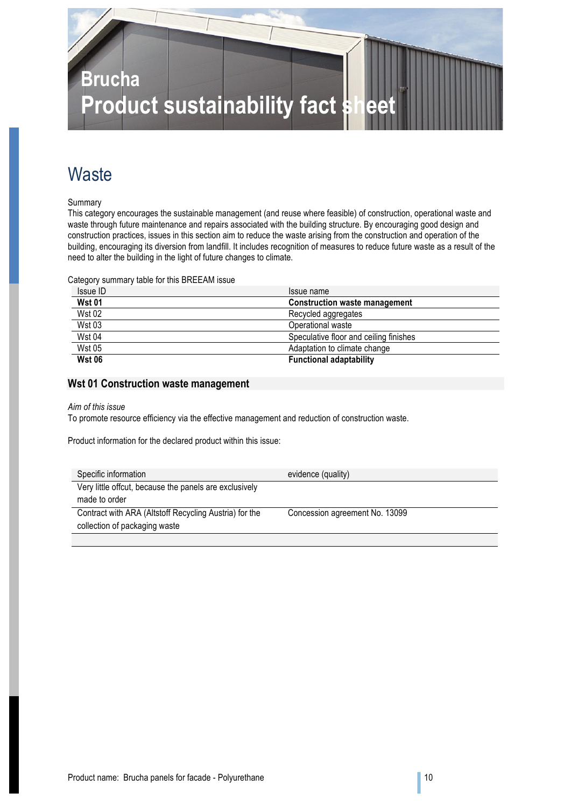

# **Waste**

Summary

This category encourages the sustainable management (and reuse where feasible) of construction, operational waste and waste through future maintenance and repairs associated with the building structure. By encouraging good design and construction practices, issues in this section aim to reduce the waste arising from the construction and operation of the building, encouraging its diversion from landfill. It includes recognition of measures to reduce future waste as a result of the need to alter the building in the light of future changes to climate.

Category summary table for this BREEAM issue

| Issue ID      | Issue name                             |
|---------------|----------------------------------------|
| <b>Wst 01</b> | <b>Construction waste management</b>   |
| <b>Wst 02</b> | Recycled aggregates                    |
| <b>Wst 03</b> | Operational waste                      |
| <b>Wst 04</b> | Speculative floor and ceiling finishes |
| <b>Wst 05</b> | Adaptation to climate change           |
| <b>Wst 06</b> | <b>Functional adaptability</b>         |

### **Wst 01 Construction waste management**

#### *Aim of this issue*

To promote resource efficiency via the effective management and reduction of construction waste.

Product information for the declared product within this issue:

| Specific information                                   | evidence (quality)             |
|--------------------------------------------------------|--------------------------------|
| Very little offcut, because the panels are exclusively |                                |
| made to order                                          |                                |
| Contract with ARA (Altstoff Recycling Austria) for the | Concession agreement No. 13099 |
| collection of packaging waste                          |                                |
|                                                        |                                |